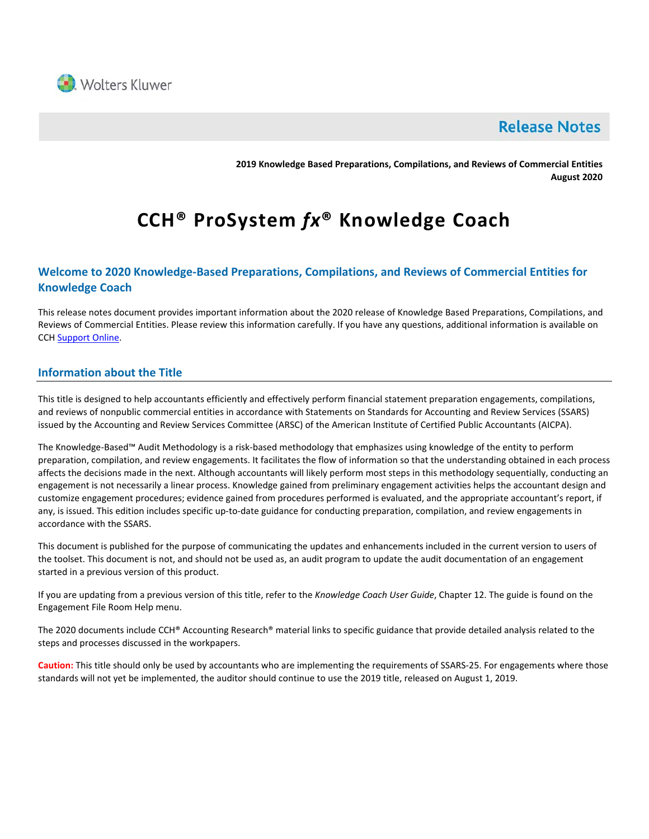

# **Release Notes**

**2019 Knowledge Based Preparations, Compilations, and Reviews of Commercial Entities August 2020**

# **CCH® ProSystem** *fx***® Knowledge Coach**

# **Welcome to 2020 Knowledge-Based Preparations, Compilations, and Reviews of Commercial Entities for Knowledge Coach**

This release notes document provides important information about the 2020 release of Knowledge Based Preparations, Compilations, and Reviews of Commercial Entities. Please review this information carefully. If you have any questions, additional information is available on CC[H Support Online.](http://support.cch.com/productsupport/)

# **Information about the Title**

This title is designed to help accountants efficiently and effectively perform financial statement preparation engagements, compilations, and reviews of nonpublic commercial entities in accordance with Statements on Standards for Accounting and Review Services (SSARS) issued by the Accounting and Review Services Committee (ARSC) of the American Institute of Certified Public Accountants (AICPA).

The Knowledge-Based™ Audit Methodology is a risk-based methodology that emphasizes using knowledge of the entity to perform preparation, compilation, and review engagements. It facilitates the flow of information so that the understanding obtained in each process affects the decisions made in the next. Although accountants will likely perform most steps in this methodology sequentially, conducting an engagement is not necessarily a linear process. Knowledge gained from preliminary engagement activities helps the accountant design and customize engagement procedures; evidence gained from procedures performed is evaluated, and the appropriate accountant's report, if any, is issued. This edition includes specific up-to-date guidance for conducting preparation, compilation, and review engagements in accordance with the SSARS.

This document is published for the purpose of communicating the updates and enhancements included in the current version to users of the toolset. This document is not, and should not be used as, an audit program to update the audit documentation of an engagement started in a previous version of this product.

If you are updating from a previous version of this title, refer to the *Knowledge Coach User Guide*, Chapter 12. The guide is found on the Engagement File Room Help menu.

The 2020 documents include CCH® Accounting Research® material links to specific guidance that provide detailed analysis related to the steps and processes discussed in the workpapers.

**Caution:** This title should only be used by accountants who are implementing the requirements of SSARS-25. For engagements where those standards will not yet be implemented, the auditor should continue to use the 2019 title, released on August 1, 2019.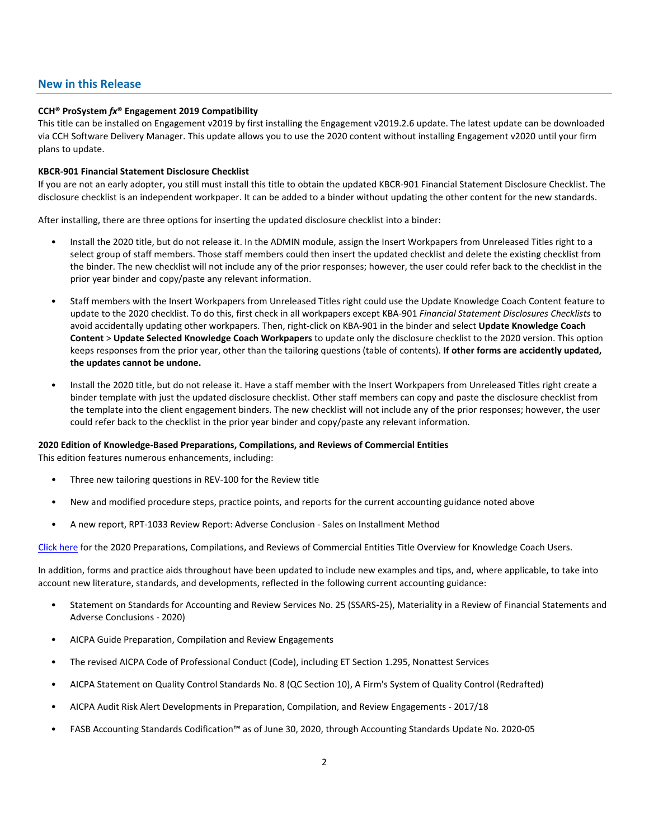# **New in this Release**

#### **CCH® ProSystem** *fx***® Engagement 2019 Compatibility**

This title can be installed on Engagement v2019 by first installing the Engagement v2019.2.6 update. The latest update can be downloaded via CCH Software Delivery Manager. This update allows you to use the 2020 content without installing Engagement v2020 until your firm plans to update.

#### **KBCR-901 Financial Statement Disclosure Checklist**

If you are not an early adopter, you still must install this title to obtain the updated KBCR-901 Financial Statement Disclosure Checklist. The disclosure checklist is an independent workpaper. It can be added to a binder without updating the other content for the new standards.

After installing, there are three options for inserting the updated disclosure checklist into a binder:

- Install the 2020 title, but do not release it. In the ADMIN module, assign the Insert Workpapers from Unreleased Titles right to a select group of staff members. Those staff members could then insert the updated checklist and delete the existing checklist from the binder. The new checklist will not include any of the prior responses; however, the user could refer back to the checklist in the prior year binder and copy/paste any relevant information.
- Staff members with the Insert Workpapers from Unreleased Titles right could use the Update Knowledge Coach Content feature to update to the 2020 checklist. To do this, first check in all workpapers except KBA-901 *Financial Statement Disclosures Checklists* to avoid accidentally updating other workpapers. Then, right-click on KBA-901 in the binder and select **Update Knowledge Coach Content** > **Update Selected Knowledge Coach Workpapers** to update only the disclosure checklist to the 2020 version. This option keeps responses from the prior year, other than the tailoring questions (table of contents). **If other forms are accidently updated, the updates cannot be undone.**
- Install the 2020 title, but do not release it. Have a staff member with the Insert Workpapers from Unreleased Titles right create a binder template with just the updated disclosure checklist. Other staff members can copy and paste the disclosure checklist from the template into the client engagement binders. The new checklist will not include any of the prior responses; however, the user could refer back to the checklist in the prior year binder and copy/paste any relevant information.

#### **2020 Edition of Knowledge-Based Preparations, Compilations, and Reviews of Commercial Entities**

This edition features numerous enhancements, including:

- Three new tailoring questions in REV-100 for the Review title
- New and modified procedure steps, practice points, and reports for the current accounting guidance noted above
- A new report, RPT-1033 Review Report: Adverse Conclusion Sales on Installment Method

[Click here](http://support.cch.com/updates/KnowledgeCoach/pdf/guides_tab/2020%20Commercial%20Entities%20PCR%20Title%20Overview%20for%20Knowledge%20Coach%20Users.pdf) for the 2020 Preparations, Compilations, and Reviews of Commercial Entities Title Overview for Knowledge Coach Users.

In addition, forms and practice aids throughout have been updated to include new examples and tips, and, where applicable, to take into account new literature, standards, and developments, reflected in the following current accounting guidance:

- Statement on Standards for Accounting and Review Services No. 25 (SSARS-25), Materiality in a Review of Financial Statements and Adverse Conclusions - 2020)
- AICPA Guide Preparation, Compilation and Review Engagements
- The revised AICPA Code of Professional Conduct (Code), including ET Section 1.295, Nonattest Services
- AICPA Statement on Quality Control Standards No. 8 (QC Section 10), A Firm's System of Quality Control (Redrafted)
- AICPA Audit Risk Alert Developments in Preparation, Compilation, and Review Engagements 2017/18
- FASB Accounting Standards Codification™ as of June 30, 2020, through Accounting Standards Update No. 2020-05